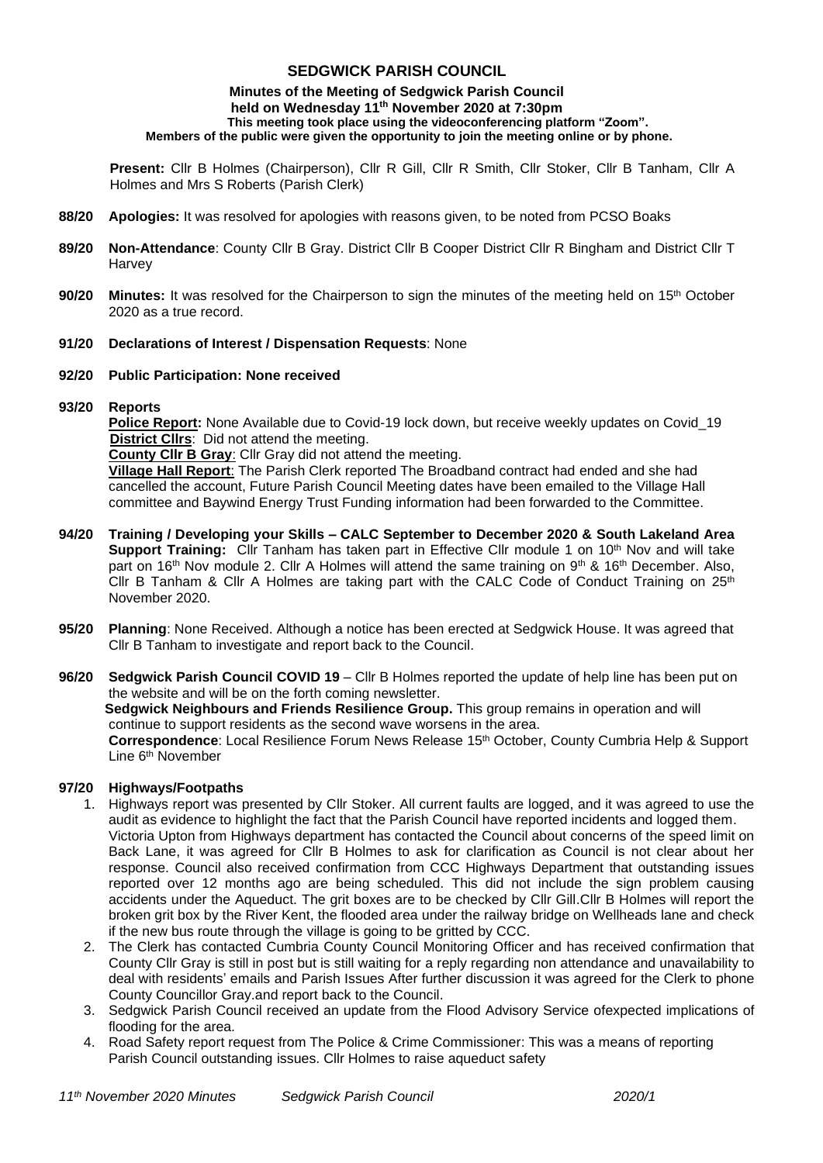# **SEDGWICK PARISH COUNCIL**

#### **Minutes of the Meeting of Sedgwick Parish Council held on Wednesday 11 th November 2020 at 7:30pm This meeting took place using the videoconferencing platform "Zoom". Members of the public were given the opportunity to join the meeting online or by phone.**

**Present:** Cllr B Holmes (Chairperson), Cllr R Gill, Cllr R Smith, Cllr Stoker, Cllr B Tanham, Cllr A Holmes and Mrs S Roberts (Parish Clerk)

- **88/20 Apologies:** It was resolved for apologies with reasons given, to be noted from PCSO Boaks
- **89/20 Non-Attendance**: County Cllr B Gray. District Cllr B Cooper District Cllr R Bingham and District Cllr T **Harvey**
- **90/20** Minutes: It was resolved for the Chairperson to sign the minutes of the meeting held on 15<sup>th</sup> October 2020 as a true record.

#### **91/20 Declarations of Interest / Dispensation Requests**: None

#### **92/20 Public Participation: None received**

**93/20 Reports** 

**Police Report:** None Available due to Covid-19 lock down, but receive weekly updates on Covid\_19 **District Cllrs**: Did not attend the meeting.

**County Cllr B Gray**: Cllr Gray did not attend the meeting.

**Village Hall Report**: The Parish Clerk reported The Broadband contract had ended and she had cancelled the account, Future Parish Council Meeting dates have been emailed to the Village Hall committee and Baywind Energy Trust Funding information had been forwarded to the Committee.

- **94/20 Training / Developing your Skills – CALC September to December 2020 & South Lakeland Area Support Training:** Cllr Tanham has taken part in Effective Cllr module 1 on 10<sup>th</sup> Nov and will take part on 16<sup>th</sup> Nov module 2. Cllr A Holmes will attend the same training on 9<sup>th</sup> & 16<sup>th</sup> December. Also, Cllr B Tanham & Cllr A Holmes are taking part with the CALC Code of Conduct Training on 25<sup>th</sup> November 2020.
- **95/20 Planning**: None Received. Although a notice has been erected at Sedgwick House. It was agreed that Cllr B Tanham to investigate and report back to the Council.
- **96/20 Sedgwick Parish Council COVID 19**  Cllr B Holmes reported the update of help line has been put on the website and will be on the forth coming newsletter.  **Sedgwick Neighbours and Friends Resilience Group.** This group remains in operation and will continue to support residents as the second wave worsens in the area. **Correspondence**: Local Resilience Forum News Release 15th October, County Cumbria Help & Support Line 6<sup>th</sup> November

## **97/20 Highways/Footpaths**

- 1. Highways report was presented by Cllr Stoker. All current faults are logged, and it was agreed to use the audit as evidence to highlight the fact that the Parish Council have reported incidents and logged them. Victoria Upton from Highways department has contacted the Council about concerns of the speed limit on Back Lane, it was agreed for Cllr B Holmes to ask for clarification as Council is not clear about her response. Council also received confirmation from CCC Highways Department that outstanding issues reported over 12 months ago are being scheduled. This did not include the sign problem causing accidents under the Aqueduct. The grit boxes are to be checked by Cllr Gill.Cllr B Holmes will report the broken grit box by the River Kent, the flooded area under the railway bridge on Wellheads lane and check if the new bus route through the village is going to be gritted by CCC.
- 2. The Clerk has contacted Cumbria County Council Monitoring Officer and has received confirmation that County Cllr Gray is still in post but is still waiting for a reply regarding non attendance and unavailability to deal with residents' emails and Parish Issues After further discussion it was agreed for the Clerk to phone County Councillor Gray.and report back to the Council.
- 3. Sedgwick Parish Council received an update from the Flood Advisory Service ofexpected implications of flooding for the area.
- 4. Road Safety report request from The Police & Crime Commissioner: This was a means of reporting Parish Council outstanding issues. Cllr Holmes to raise aqueduct safety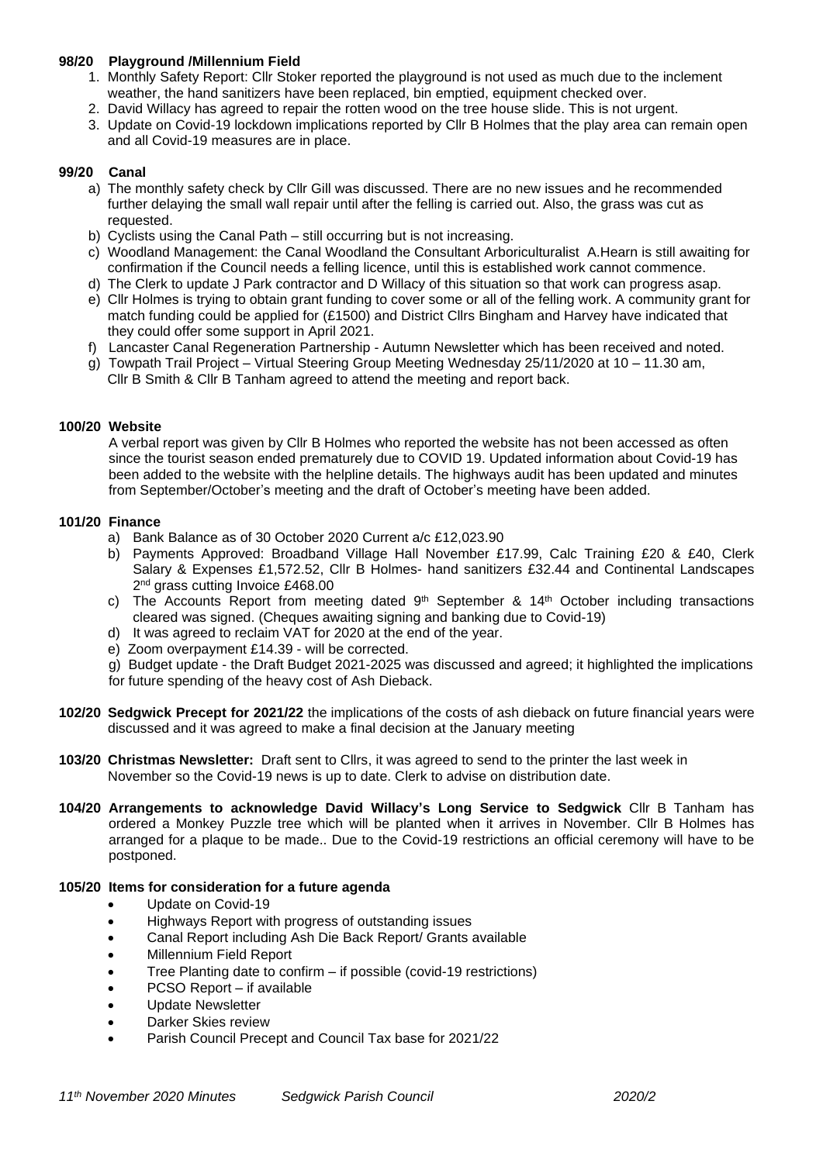## **98/20 Playground /Millennium Field**

- 1. Monthly Safety Report: Cllr Stoker reported the playground is not used as much due to the inclement weather, the hand sanitizers have been replaced, bin emptied, equipment checked over.
- 2. David Willacy has agreed to repair the rotten wood on the tree house slide. This is not urgent.
- 3. Update on Covid-19 lockdown implications reported by Cllr B Holmes that the play area can remain open and all Covid-19 measures are in place.

### **99/20 Canal**

- a) The monthly safety check by Cllr Gill was discussed. There are no new issues and he recommended further delaying the small wall repair until after the felling is carried out. Also, the grass was cut as requested.
- b) Cyclists using the Canal Path still occurring but is not increasing.
- c) Woodland Management: the Canal Woodland the Consultant Arboriculturalist A.Hearn is still awaiting for confirmation if the Council needs a felling licence, until this is established work cannot commence.
- d) The Clerk to update J Park contractor and D Willacy of this situation so that work can progress asap.
- e) Cllr Holmes is trying to obtain grant funding to cover some or all of the felling work. A community grant for match funding could be applied for (£1500) and District Cllrs Bingham and Harvey have indicated that they could offer some support in April 2021.
- f) Lancaster Canal Regeneration Partnership Autumn Newsletter which has been received and noted.
- g) Towpath Trail Project Virtual Steering Group Meeting Wednesday 25/11/2020 at 10 11.30 am, Cllr B Smith & Cllr B Tanham agreed to attend the meeting and report back.

### **100/20 Website**

A verbal report was given by Cllr B Holmes who reported the website has not been accessed as often since the tourist season ended prematurely due to COVID 19. Updated information about Covid-19 has been added to the website with the helpline details. The highways audit has been updated and minutes from September/October's meeting and the draft of October's meeting have been added.

### **101/20 Finance**

- a) Bank Balance as of 30 October 2020 Current a/c £12,023.90
- b) Payments Approved: Broadband Village Hall November £17.99, Calc Training £20 & £40, Clerk Salary & Expenses £1,572.52, Cllr B Holmes- hand sanitizers £32.44 and Continental Landscapes 2 nd grass cutting Invoice £468.00
- c) The Accounts Report from meeting dated  $9<sup>th</sup>$  September & 14<sup>th</sup> October including transactions cleared was signed. (Cheques awaiting signing and banking due to Covid-19)
- d) It was agreed to reclaim VAT for 2020 at the end of the year.
- e) Zoom overpayment £14.39 will be corrected.
- g) Budget update the Draft Budget 2021-2025 was discussed and agreed; it highlighted the implications for future spending of the heavy cost of Ash Dieback.
- **102/20 Sedgwick Precept for 2021/22** the implications of the costs of ash dieback on future financial years were discussed and it was agreed to make a final decision at the January meeting
- **103/20 Christmas Newsletter:** Draft sent to Cllrs, it was agreed to send to the printer the last week in November so the Covid-19 news is up to date. Clerk to advise on distribution date.
- **104/20 Arrangements to acknowledge David Willacy's Long Service to Sedgwick** Cllr B Tanham has ordered a Monkey Puzzle tree which will be planted when it arrives in November. Cllr B Holmes has arranged for a plaque to be made.. Due to the Covid-19 restrictions an official ceremony will have to be postponed.

#### **105/20 Items for consideration for a future agenda**

- Update on Covid-19
- Highways Report with progress of outstanding issues
- Canal Report including Ash Die Back Report/ Grants available
- Millennium Field Report
- Tree Planting date to confirm if possible (covid-19 restrictions)
- PCSO Report if available
- Update Newsletter
- Darker Skies review
- Parish Council Precept and Council Tax base for 2021/22